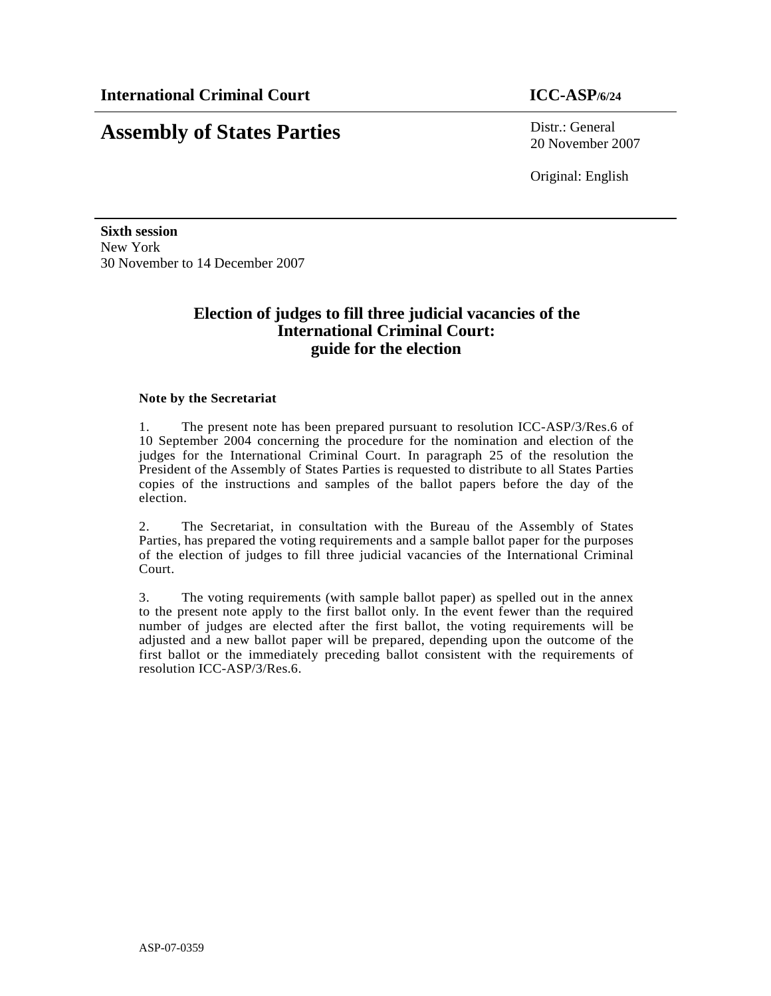# **Assembly of States Parties** Distr.: General

20 November 2007

Original: English

**Sixth session**  New York 30 November to 14 December 2007

## **Election of judges to fill three judicial vacancies of the International Criminal Court: guide for the election**

#### **Note by the Secretariat**

1. The present note has been prepared pursuant to resolution ICC-ASP/3/Res.6 of 10 September 2004 concerning the procedure for the nomination and election of the judges for the International Criminal Court. In paragraph 25 of the resolution the President of the Assembly of States Parties is requested to distribute to all States Parties copies of the instructions and samples of the ballot papers before the day of the election.

2. The Secretariat, in consultation with the Bureau of the Assembly of States Parties, has prepared the voting requirements and a sample ballot paper for the purposes of the election of judges to fill three judicial vacancies of the International Criminal Court.

3. The voting requirements (with sample ballot paper) as spelled out in the annex to the present note apply to the first ballot only. In the event fewer than the required number of judges are elected after the first ballot, the voting requirements will be adjusted and a new ballot paper will be prepared, depending upon the outcome of the first ballot or the immediately preceding ballot consistent with the requirements of resolution ICC-ASP/3/Res.6.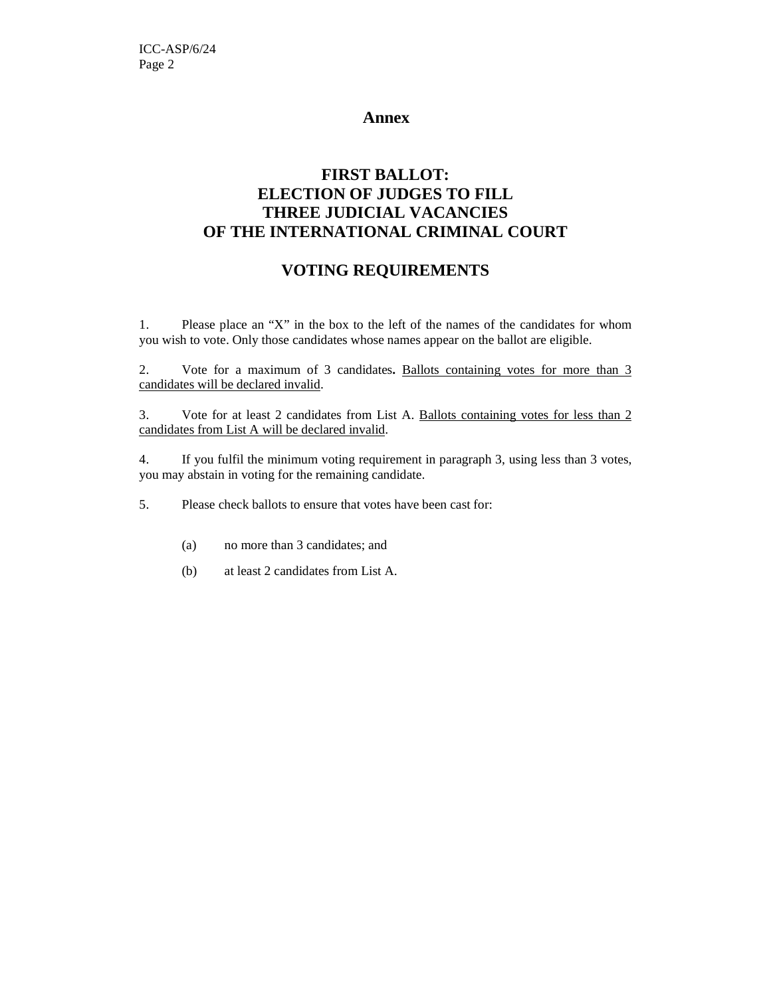### **Annex**

# **FIRST BALLOT: ELECTION OF JUDGES TO FILL THREE JUDICIAL VACANCIES OF THE INTERNATIONAL CRIMINAL COURT**

# **VOTING REQUIREMENTS**

1. Please place an "X" in the box to the left of the names of the candidates for whom you wish to vote. Only those candidates whose names appear on the ballot are eligible.

2. Vote for a maximum of 3 candidates**.** Ballots containing votes for more than 3 candidates will be declared invalid.

3. Vote for at least 2 candidates from List A. Ballots containing votes for less than 2 candidates from List A will be declared invalid.

4. If you fulfil the minimum voting requirement in paragraph 3, using less than 3 votes, you may abstain in voting for the remaining candidate.

5. Please check ballots to ensure that votes have been cast for:

- (a) no more than 3 candidates; and
- (b) at least 2 candidates from List A.